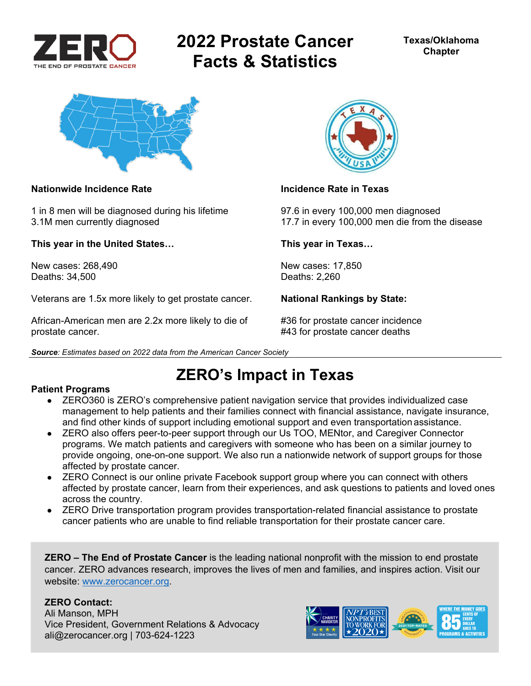

# **2022 Prostate Cancer Facts & Statistics**



### **Nationwide Incidence Rate Incidence Rate in Texas**

1 in 8 men will be diagnosed during his lifetime 97.6 in every 100,000 men diagnosed

**This year in the United States… This year in Texas…** 

New cases: 268,490 New cases: 17,850 Deaths: 34,500 Deaths: 2,260

Veterans are 1.5x more likely to get prostate cancer. **National Rankings by State:** 

African-American men are 2.2x more likely to die of #36 for prostate cancer incidence prostate cancer. #43 for prostate cancer deaths

*Source: Estimates based on 2022 data from the American Cancer Society* 

3.1M men currently diagnosed 17.7 in every 100,000 men die from the disease

## **ZERO's Impact in Texas**

### **Patient Programs**

- ZERO360 is ZERO's comprehensive patient navigation service that provides individualized case management to help patients and their families connect with financial assistance, navigate insurance, and find other kinds of support including emotional support and even transportation assistance.
- ZERO also offers peer-to-peer support through our Us TOO, MENtor, and Caregiver Connector programs. We match patients and caregivers with someone who has been on a similar journey to provide ongoing, one-on-one support. We also run a nationwide network of support groups for those affected by prostate cancer.
- ZERO Connect is our online private Facebook support group where you can connect with others affected by prostate cancer, learn from their experiences, and ask questions to patients and loved ones across the country.
- ZERO Drive transportation program provides transportation-related financial assistance to prostate cancer patients who are unable to find reliable transportation for their prostate cancer care.

**ZERO – The End of Prostate Cancer** is the leading national nonprofit with the mission to end prostate cancer. ZERO advances research, improves the lives of men and families, and inspires action. Visit our website: www.zerocancer.org.

### **ZERO Contact:**

Ali Manson, MPH Vice President, Government Relations & Advocacy ali@zerocancer.org | 703-624-1223